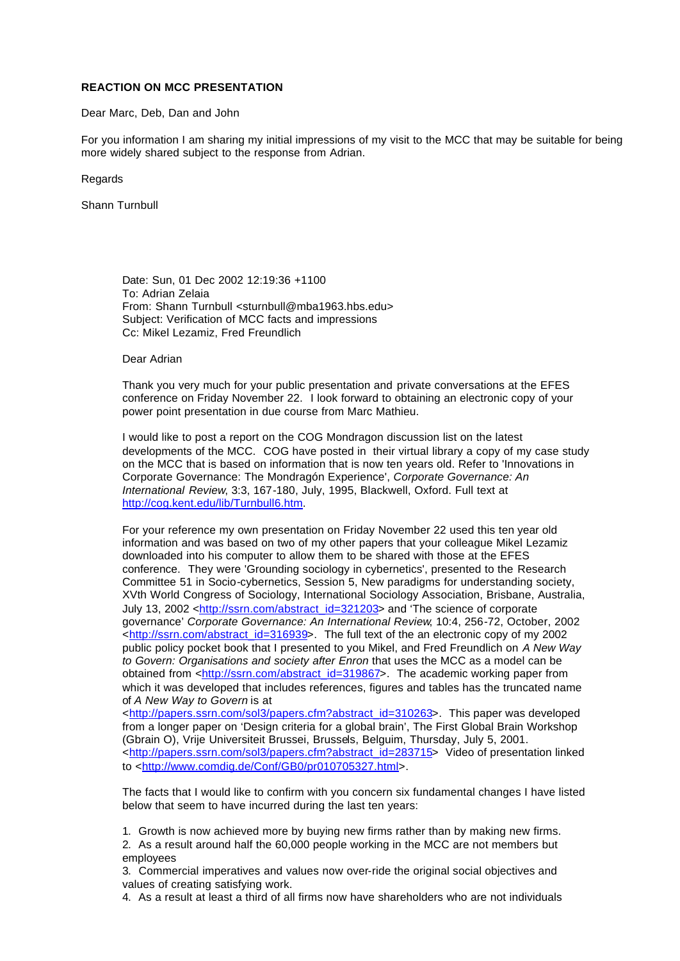## **REACTION ON MCC PRESENTATION**

## Dear Marc, Deb, Dan and John

For you information I am sharing my initial impressions of my visit to the MCC that may be suitable for being more widely shared subject to the response from Adrian.

Regards

Shann Turnbull

Date: Sun, 01 Dec 2002 12:19:36 +1100 To: Adrian Zelaia From: Shann Turnbull <sturnbull@mba1963.hbs.edu> Subject: Verification of MCC facts and impressions Cc: Mikel Lezamiz, Fred Freundlich

Dear Adrian

Thank you very much for your public presentation and private conversations at the EFES conference on Friday November 22. I look forward to obtaining an electronic copy of your power point presentation in due course from Marc Mathieu.

I would like to post a report on the COG Mondragon discussion list on the latest developments of the MCC. COG have posted in their virtual library a copy of my case study on the MCC that is based on information that is now ten years old. Refer to 'Innovations in Corporate Governance: The Mondragón Experience', *Corporate Governance: An International Review*, 3:3, 167-180, July, 1995, Blackwell, Oxford. Full text at http://cog.kent.edu/lib/Turnbull6.htm.

For your reference my own presentation on Friday November 22 used this ten year old information and was based on two of my other papers that your colleague Mikel Lezamiz downloaded into his computer to allow them to be shared with those at the EFES conference. They were 'Grounding sociology in cybernetics', presented to the Research Committee 51 in Socio-cybernetics, Session 5, New paradigms for understanding society, XVth World Congress of Sociology, International Sociology Association, Brisbane, Australia, July 13, 2002 <http://ssrn.com/abstract\_id=321203> and 'The science of corporate governance' *Corporate Governance: An International Review*, 10:4, 256-72, October, 2002 <http://ssrn.com/abstract\_id=316939>. The full text of the an electronic copy of my 2002 public policy pocket book that I presented to you Mikel, and Fred Freundlich on *A New Way to Govern: Organisations and society after Enron* that uses the MCC as a model can be obtained from <http://ssrn.com/abstract\_id=319867>. The academic working paper from which it was developed that includes references, figures and tables has the truncated name of *A New Way to Govern* is at

<http://papers.ssrn.com/sol3/papers.cfm?abstract\_id=310263>. This paper was developed from a longer paper on 'Design criteria for a global brain', The First Global Brain Workshop (Gbrain O), Vrije Universiteit Brussei, Brussels, Belguim, Thursday, July 5, 2001. <http://papers.ssrn.com/sol3/papers.cfm?abstract\_id=283715> Video of presentation linked to <http://www.comdig.de/Conf/GB0/pr010705327.html>.

The facts that I would like to confirm with you concern six fundamental changes I have listed below that seem to have incurred during the last ten years:

1. Growth is now achieved more by buying new firms rather than by making new firms.

2. As a result around half the 60,000 people working in the MCC are not members but employees

3. Commercial imperatives and values now over-ride the original social objectives and values of creating satisfying work.

4. As a result at least a third of all firms now have shareholders who are not individuals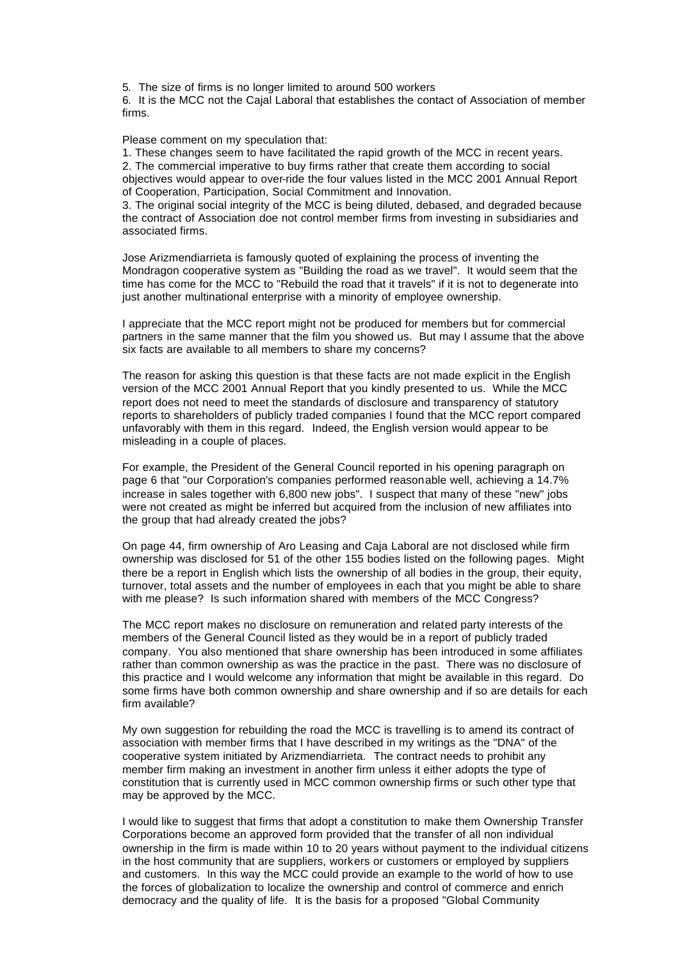5. The size of firms is no longer limited to around 500 workers

6. It is the MCC not the Cajal Laboral that establishes the contact of Association of member firms.

Please comment on my speculation that:

1. These changes seem to have facilitated the rapid growth of the MCC in recent years. 2. The commercial imperative to buy firms rather that create them according to social objectives would appear to over-ride the four values listed in the MCC 2001 Annual Report of Cooperation, Participation, Social Commitment and Innovation.

3. The original social integrity of the MCC is being diluted, debased, and degraded because the contract of Association doe not control member firms from investing in subsidiaries and associated firms.

Jose Arizmendiarrieta is famously quoted of explaining the process of inventing the Mondragon cooperative system as "Building the road as we travel". It would seem that the time has come for the MCC to "Rebuild the road that it travels" if it is not to degenerate into just another multinational enterprise with a minority of employee ownership.

I appreciate that the MCC report might not be produced for members but for commercial partners in the same manner that the film you showed us. But may I assume that the above six facts are available to all members to share my concerns?

The reason for asking this question is that these facts are not made explicit in the English version of the MCC 2001 Annual Report that you kindly presented to us. While the MCC report does not need to meet the standards of disclosure and transparency of statutory reports to shareholders of publicly traded companies I found that the MCC report compared unfavorably with them in this regard. Indeed, the English version would appear to be misleading in a couple of places.

For example, the President of the General Council reported in his opening paragraph on page 6 that "our Corporation's companies performed reasonable well, achieving a 14.7% increase in sales together with 6,800 new jobs". I suspect that many of these "new" jobs were not created as might be inferred but acquired from the inclusion of new affiliates into the group that had already created the jobs?

On page 44, firm ownership of Aro Leasing and Caja Laboral are not disclosed while firm ownership was disclosed for 51 of the other 155 bodies listed on the following pages. Might there be a report in English which lists the ownership of all bodies in the group, their equity, turnover, total assets and the number of employees in each that you might be able to share with me please? Is such information shared with members of the MCC Congress?

The MCC report makes no disclosure on remuneration and related party interests of the members of the General Council listed as they would be in a report of publicly traded company. You also mentioned that share ownership has been introduced in some affiliates rather than common ownership as was the practice in the past. There was no disclosure of this practice and I would welcome any information that might be available in this regard. Do some firms have both common ownership and share ownership and if so are details for each firm available?

My own suggestion for rebuilding the road the MCC is travelling is to amend its contract of association with member firms that I have described in my writings as the "DNA" of the cooperative system initiated by Arizmendiarrieta. The contract needs to prohibit any member firm making an investment in another firm unless it either adopts the type of constitution that is currently used in MCC common ownership firms or such other type that may be approved by the MCC.

I would like to suggest that firms that adopt a constitution to make them Ownership Transfer Corporations become an approved form provided that the transfer of all non individual ownership in the firm is made within 10 to 20 years without payment to the individual citizens in the host community that are suppliers, workers or customers or employed by suppliers and customers. In this way the MCC could provide an example to the world of how to use the forces of globalization to localize the ownership and control of commerce and enrich democracy and the quality of life. It is the basis for a proposed "Global Community